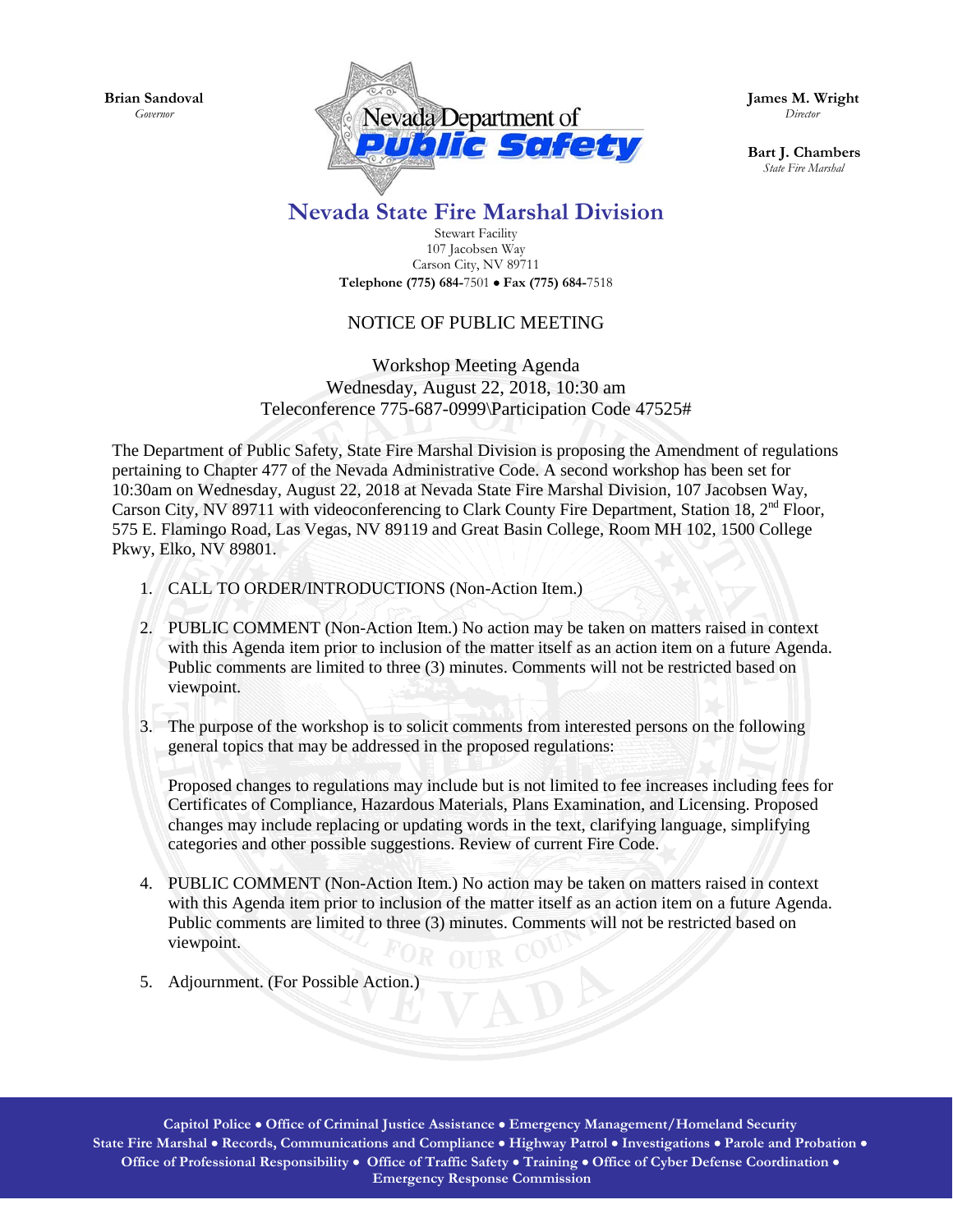**Brian Sandoval** *Governor*



**James M. Wright**  *Director*

**Bart J. Chambers**  *State Fire Marshal*

## **Nevada State Fire Marshal Division**

Stewart Facility 107 Jacobsen Way Carson City, NV 89711 **Telephone (775) 684-**7501 • **Fax (775) 684-**7518

## NOTICE OF PUBLIC MEETING

Workshop Meeting Agenda Wednesday, August 22, 2018, 10:30 am Teleconference 775-687-0999\Participation Code 47525#

The Department of Public Safety, State Fire Marshal Division is proposing the Amendment of regulations pertaining to Chapter 477 of the Nevada Administrative Code. A second workshop has been set for 10:30am on Wednesday, August 22, 2018 at Nevada State Fire Marshal Division, 107 Jacobsen Way, Carson City, NV 89711 with videoconferencing to Clark County Fire Department, Station 18, 2<sup>nd</sup> Floor, 575 E. Flamingo Road, Las Vegas, NV 89119 and Great Basin College, Room MH 102, 1500 College Pkwy, Elko, NV 89801.

- 1. CALL TO ORDER/INTRODUCTIONS (Non-Action Item.)
- 2. PUBLIC COMMENT (Non-Action Item.) No action may be taken on matters raised in context with this Agenda item prior to inclusion of the matter itself as an action item on a future Agenda. Public comments are limited to three (3) minutes. Comments will not be restricted based on viewpoint.
- 3. The purpose of the workshop is to solicit comments from interested persons on the following general topics that may be addressed in the proposed regulations:

Proposed changes to regulations may include but is not limited to fee increases including fees for Certificates of Compliance, Hazardous Materials, Plans Examination, and Licensing. Proposed changes may include replacing or updating words in the text, clarifying language, simplifying categories and other possible suggestions. Review of current Fire Code.

- 4. PUBLIC COMMENT (Non-Action Item.) No action may be taken on matters raised in context with this Agenda item prior to inclusion of the matter itself as an action item on a future Agenda. Public comments are limited to three (3) minutes. Comments will not be restricted based on viewpoint.
- 5. Adjournment. (For Possible Action.)